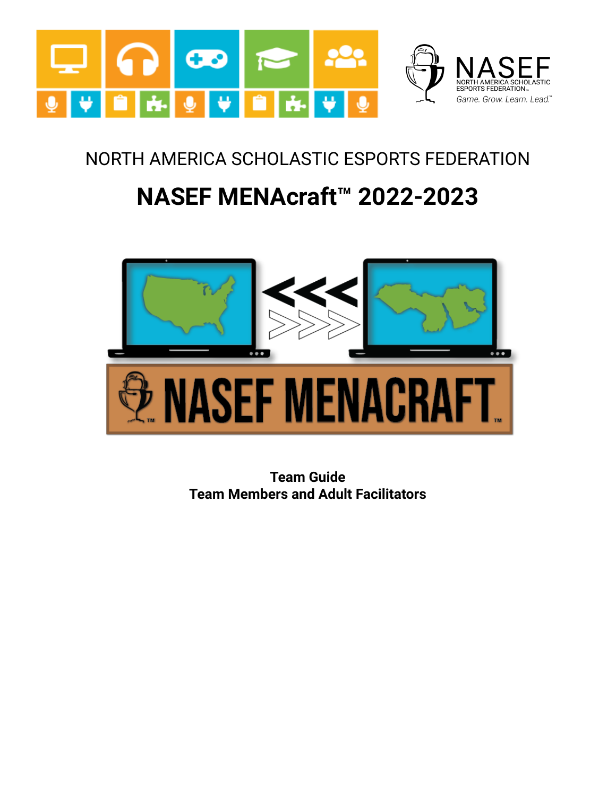

## NORTH AMERICA SCHOLASTIC ESPORTS FEDERATION

# **NASEF MENAcraft™ 2022-2023**



**Team Guide Team Members and Adult Facilitators**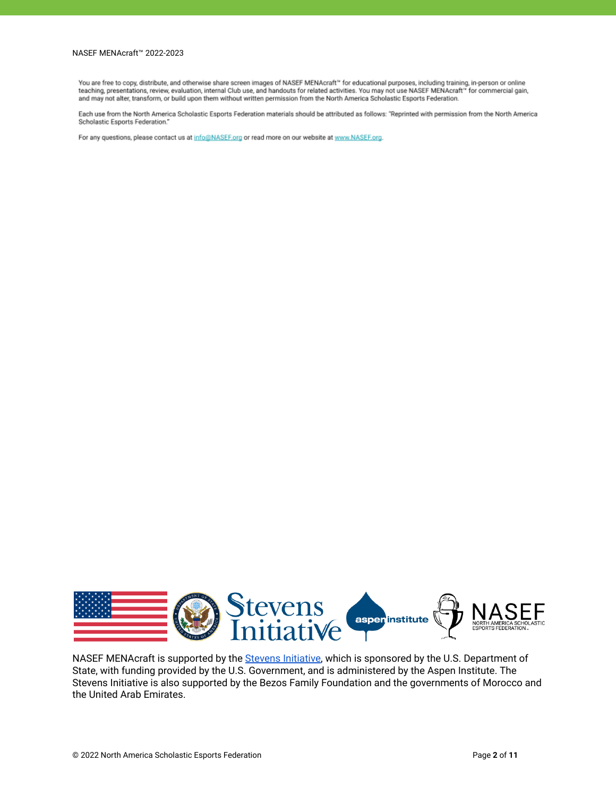#### NASEF MENAcraft™ 2022-2023

You are free to copy, distribute, and otherwise share screen images of NASEF MENAcraft™ for educational purposes, including training, in-person or online teaching, presentations, review, evaluation, internal Club use, and handouts for related activities. You may not use NASEF MENAcraft" for commercial gain, and may not alter, transform, or build upon them without written permission from the North America Scholastic Esports Federation.

Each use from the North America Scholastic Esports Federation materials should be attributed as follows: "Reprinted with permission from the North America Scholastic Esports Federation."

For any questions, please contact us at info@NASEF.org or read more on our website at www.NASEF.org.



NASEF MENAcraft is supported by the Stevens [Initiative,](https://www.stevensinitiative.org/) which is sponsored by the U.S. Department of State, with funding provided by the U.S. Government, and is administered by the Aspen Institute. The Stevens Initiative is also supported by the Bezos Family Foundation and the governments of Morocco and the United Arab Emirates.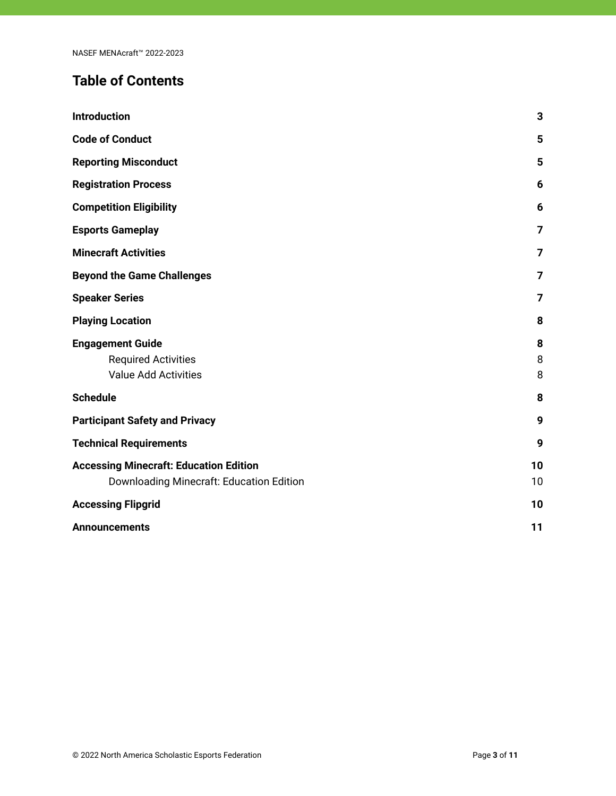## **Table of Contents**

| <b>Introduction</b>                                                                       | 3              |
|-------------------------------------------------------------------------------------------|----------------|
| <b>Code of Conduct</b>                                                                    | 5              |
| <b>Reporting Misconduct</b>                                                               | 5              |
| <b>Registration Process</b>                                                               | 6              |
| <b>Competition Eligibility</b>                                                            | 6              |
| <b>Esports Gameplay</b>                                                                   | 7              |
| <b>Minecraft Activities</b>                                                               | $\overline{7}$ |
| <b>Beyond the Game Challenges</b>                                                         | 7              |
| <b>Speaker Series</b>                                                                     | 7              |
| <b>Playing Location</b>                                                                   | 8              |
| <b>Engagement Guide</b><br><b>Required Activities</b><br><b>Value Add Activities</b>      | 8<br>8<br>8    |
| <b>Schedule</b>                                                                           | 8              |
| <b>Participant Safety and Privacy</b>                                                     | 9              |
| <b>Technical Requirements</b>                                                             | 9              |
| <b>Accessing Minecraft: Education Edition</b><br>Downloading Minecraft: Education Edition | 10<br>10       |
| <b>Accessing Flipgrid</b>                                                                 | 10             |
| <b>Announcements</b>                                                                      | 11             |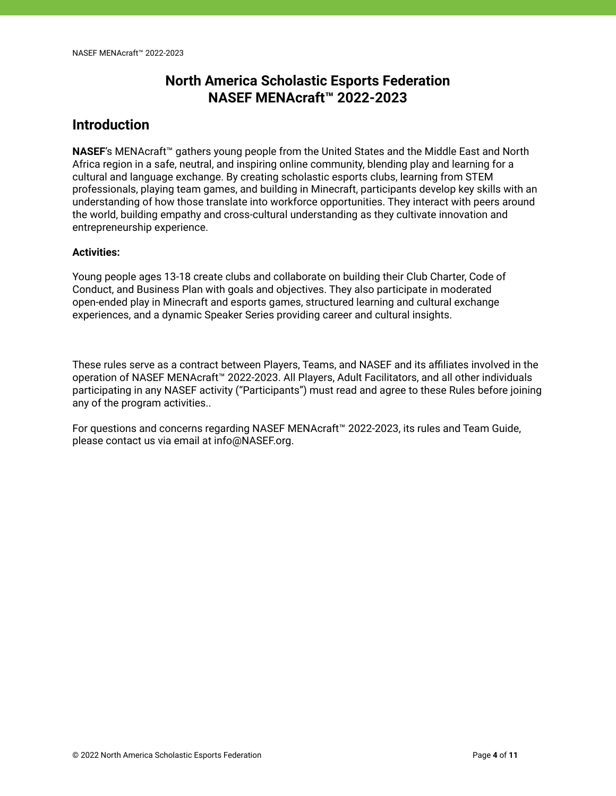## **North America Scholastic Esports Federation NASEF MENAcraft™ 2022-2023**

#### <span id="page-3-0"></span>**Introduction**

**NASEF**'s MENAcraft™ gathers young people from the United States and the Middle East and North Africa region in a safe, neutral, and inspiring online community, blending play and learning for a cultural and language exchange. By creating scholastic esports clubs, learning from STEM professionals, playing team games, and building in Minecraft, participants develop key skills with an understanding of how those translate into workforce opportunities. They interact with peers around the world, building empathy and cross-cultural understanding as they cultivate innovation and entrepreneurship experience.

#### **Activities:**

Young people ages 13-18 create clubs and collaborate on building their Club Charter, Code of Conduct, and Business Plan with goals and objectives. They also participate in moderated open-ended play in Minecraft and esports games, structured learning and cultural exchange experiences, and a dynamic Speaker Series providing career and cultural insights.

These rules serve as a contract between Players, Teams, and NASEF and its affiliates involved in the operation of NASEF MENAcraft™ 2022-2023. All Players, Adult Facilitators, and all other individuals participating in any NASEF activity ("Participants") must read and agree to these Rules before joining any of the program activities..

For questions and concerns regarding NASEF MENAcraft™ 2022-2023, its rules and Team Guide, please contact us via email at info@NASEF.org.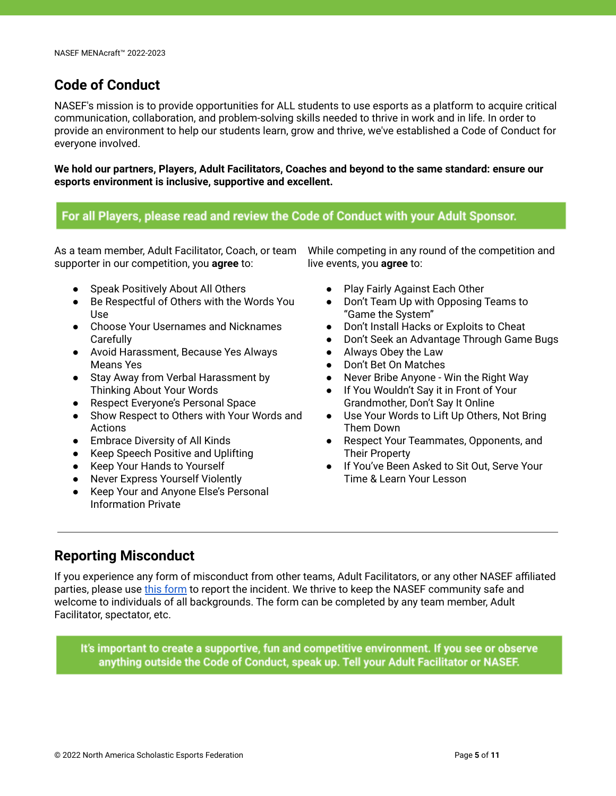#### <span id="page-4-0"></span>**Code of Conduct**

NASEF's mission is to provide opportunities for ALL students to use esports as a platform to acquire critical communication, collaboration, and problem-solving skills needed to thrive in work and in life. In order to provide an environment to help our students learn, grow and thrive, we've established a Code of Conduct for everyone involved.

**We hold our partners, Players, Adult Facilitators, Coaches and beyond to the same standard: ensure our esports environment is inclusive, supportive and excellent.**

#### For all Players, please read and review the Code of Conduct with your Adult Sponsor.

As a team member, Adult Facilitator, Coach, or team supporter in our competition, you **agree** to:

- Speak Positively About All Others
- Be Respectful of Others with the Words You Use
- Choose Your Usernames and Nicknames **Carefully**
- Avoid Harassment, Because Yes Always Means Yes
- Stay Away from Verbal Harassment by Thinking About Your Words
- Respect Everyone's Personal Space
- Show Respect to Others with Your Words and Actions
- Embrace Diversity of All Kinds
- Keep Speech Positive and Uplifting
- Keep Your Hands to Yourself
- Never Express Yourself Violently
- Keep Your and Anyone Else's Personal Information Private

While competing in any round of the competition and live events, you **agree** to:

- Play Fairly Against Each Other
- Don't Team Up with Opposing Teams to "Game the System"
- Don't Install Hacks or Exploits to Cheat
- Don't Seek an Advantage Through Game Bugs
- Always Obey the Law
- Don't Bet On Matches
- Never Bribe Anyone Win the Right Way
- If You Wouldn't Say it in Front of Your Grandmother, Don't Say It Online
- Use Your Words to Lift Up Others, Not Bring Them Down
- Respect Your Teammates, Opponents, and Their Property
- If You've Been Asked to Sit Out, Serve Your Time & Learn Your Lesson

#### <span id="page-4-1"></span>**Reporting Misconduct**

If you experience any form of misconduct from other teams, Adult Facilitators, or any other NASEF affiliated parties, please use [this form](https://docs.google.com/forms/d/e/1FAIpQLSfguRzw3yrzdAwPk6FSGLNcEW0etVwfiQvNkF_PeiJl88mDpg/viewform?usp=sf_link) to report the incident. We thrive to keep the NASEF community safe and welcome to individuals of all backgrounds. The form can be completed by any team member, Adult Facilitator, spectator, etc.

It's important to create a supportive, fun and competitive environment. If you see or observe anything outside the Code of Conduct, speak up. Tell your Adult Facilitator or NASEF.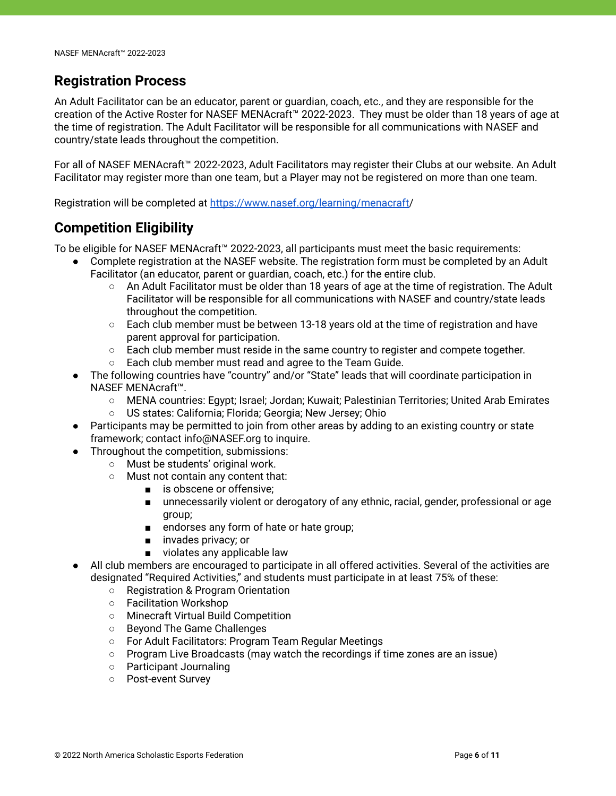#### <span id="page-5-0"></span>**Registration Process**

An Adult Facilitator can be an educator, parent or guardian, coach, etc., and they are responsible for the creation of the Active Roster for NASEF MENAcraft™ 2022-2023. They must be older than 18 years of age at the time of registration. The Adult Facilitator will be responsible for all communications with NASEF and country/state leads throughout the competition.

For all of NASEF MENAcraft™ 2022-2023, Adult Facilitators may register their Clubs at our website. An Adult Facilitator may register more than one team, but a Player may not be registered on more than one team.

<span id="page-5-1"></span>Registration will be completed at [https://www.nasef.org/learning/menacraft/](https://www.nasef.org/learning/menacraft)

#### **Competition Eligibility**

To be eligible for NASEF MENAcraft™ 2022-2023, all participants must meet the basic requirements:

- Complete registration at the NASEF website. The registration form must be completed by an Adult Facilitator (an educator, parent or guardian, coach, etc.) for the entire club.
	- An Adult Facilitator must be older than 18 years of age at the time of registration. The Adult Facilitator will be responsible for all communications with NASEF and country/state leads throughout the competition.
	- Each club member must be between 13-18 years old at the time of registration and have parent approval for participation.
	- Each club member must reside in the same country to register and compete together.
	- Each club member must read and agree to the Team Guide.
- The following countries have "country" and/or "State" leads that will coordinate participation in NASEF MENAcraft™.
	- MENA countries: Egypt; Israel; Jordan; Kuwait; Palestinian Territories; United Arab Emirates
	- US states: California; Florida; Georgia; New Jersey; Ohio
- Participants may be permitted to join from other areas by adding to an existing country or state framework; contact info@NASEF.org to inquire.
- Throughout the competition, submissions:
	- Must be students' original work.
	- Must not contain any content that:
		- is obscene or offensive:
		- unnecessarily violent or derogatory of any ethnic, racial, gender, professional or age group;
		- endorses any form of hate or hate group;
		- invades privacy; or
		- violates any applicable law
- All club members are encouraged to participate in all offered activities. Several of the activities are designated "Required Activities," and students must participate in at least 75% of these:
	- Registration & Program Orientation
	- Facilitation Workshop
	- Minecraft Virtual Build Competition
	- Beyond The Game Challenges
	- For Adult Facilitators: Program Team Regular Meetings
	- Program Live Broadcasts (may watch the recordings if time zones are an issue)
	- Participant Journaling
	- Post-event Survey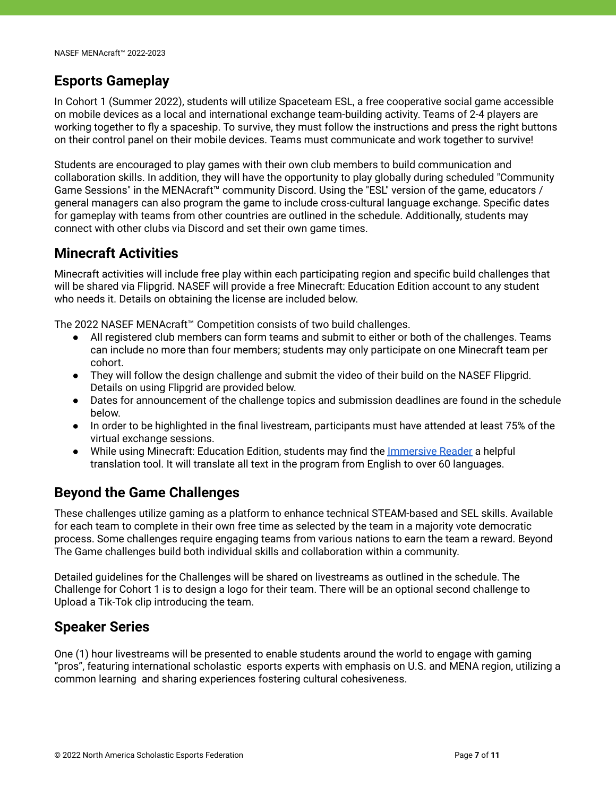#### <span id="page-6-0"></span>**Esports Gameplay**

In Cohort 1 (Summer 2022), students will utilize Spaceteam ESL, a free cooperative social game accessible on mobile devices as a local and international exchange team-building activity. Teams of 2-4 players are working together to fly a spaceship. To survive, they must follow the instructions and press the right buttons on their control panel on their mobile devices. Teams must communicate and work together to survive!

Students are encouraged to play games with their own club members to build communication and collaboration skills. In addition, they will have the opportunity to play globally during scheduled "Community Game Sessions" in the MENAcraft™ community Discord. Using the "ESL" version of the game, educators / general managers can also program the game to include cross-cultural language exchange. Specific dates for gameplay with teams from other countries are outlined in the schedule. Additionally, students may connect with other clubs via Discord and set their own game times.

#### <span id="page-6-1"></span>**Minecraft Activities**

Minecraft activities will include free play within each participating region and specific build challenges that will be shared via Flipgrid. NASEF will provide a free Minecraft: Education Edition account to any student who needs it. Details on obtaining the license are included below.

The 2022 NASEF MENAcraft™ Competition consists of two build challenges.

- All registered club members can form teams and submit to either or both of the challenges. Teams can include no more than four members; students may only participate on one Minecraft team per cohort.
- They will follow the design challenge and submit the video of their build on the NASEF Flipgrid. Details on using Flipgrid are provided below.
- Dates for announcement of the challenge topics and submission deadlines are found in the schedule below.
- In order to be highlighted in the final livestream, participants must have attended at least 75% of the virtual exchange sessions.
- While using Minecraft: Education Edition, students may find the *[Immersive Reader](https://www.youtube.com/watch?v=BkmFIpSDJ7A)* a helpful translation tool. It will translate all text in the program from English to over 60 languages.

## <span id="page-6-2"></span>**Beyond the Game Challenges**

These challenges utilize gaming as a platform to enhance technical STEAM-based and SEL skills. Available for each team to complete in their own free time as selected by the team in a majority vote democratic process. Some challenges require engaging teams from various nations to earn the team a reward. Beyond The Game challenges build both individual skills and collaboration within a community.

Detailed guidelines for the Challenges will be shared on livestreams as outlined in the schedule. The Challenge for Cohort 1 is to design a logo for their team. There will be an optional second challenge to Upload a Tik-Tok clip introducing the team.

#### <span id="page-6-3"></span>**Speaker Series**

One (1) hour livestreams will be presented to enable students around the world to engage with gaming "pros", featuring international scholastic esports experts with emphasis on U.S. and MENA region, utilizing a common learning and sharing experiences fostering cultural cohesiveness.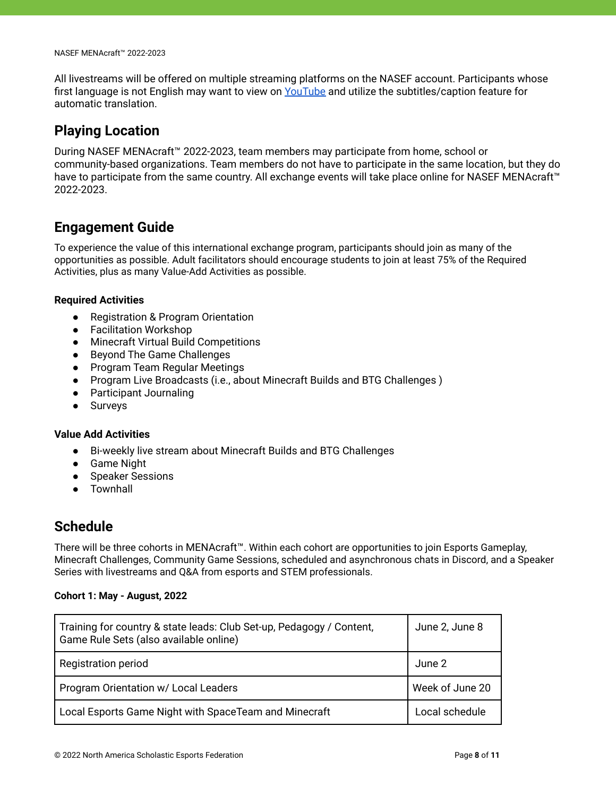All livestreams will be offered on multiple streaming platforms on the NASEF account. Participants whose first language is not English may want to view on [YouTube](https://www.youtube.com/c/NorthAmericaScholasticEsportsFederation/videos) and utilize the subtitles/caption feature for automatic translation.

#### <span id="page-7-0"></span>**Playing Location**

During NASEF MENAcraft™ 2022-2023, team members may participate from home, school or community-based organizations. Team members do not have to participate in the same location, but they do have to participate from the same country. All exchange events will take place online for NASEF MENAcraft™ 2022-2023.

#### <span id="page-7-1"></span>**Engagement Guide**

To experience the value of this international exchange program, participants should join as many of the opportunities as possible. Adult facilitators should encourage students to join at least 75% of the Required Activities, plus as many Value-Add Activities as possible.

#### <span id="page-7-2"></span>**Required Activities**

- Registration & Program Orientation
- Facilitation Workshop
- Minecraft Virtual Build Competitions
- Beyond The Game Challenges
- Program Team Regular Meetings
- Program Live Broadcasts (i.e., about Minecraft Builds and BTG Challenges )
- Participant Journaling
- Surveys

#### <span id="page-7-3"></span>**Value Add Activities**

- Bi-weekly live stream about Minecraft Builds and BTG Challenges
- Game Night
- Speaker Sessions
- Townhall

#### <span id="page-7-4"></span>**Schedule**

There will be three cohorts in MENAcraft™. Within each cohort are opportunities to join Esports Gameplay, Minecraft Challenges, Community Game Sessions, scheduled and asynchronous chats in Discord, and a Speaker Series with livestreams and Q&A from esports and STEM professionals.

#### **Cohort 1: May - August, 2022**

| Training for country & state leads: Club Set-up, Pedagogy / Content,<br>Game Rule Sets (also available online) | June 2, June 8  |
|----------------------------------------------------------------------------------------------------------------|-----------------|
| <b>Registration period</b>                                                                                     | June 2          |
| Program Orientation w/ Local Leaders                                                                           | Week of June 20 |
| Local Esports Game Night with SpaceTeam and Minecraft                                                          | Local schedule  |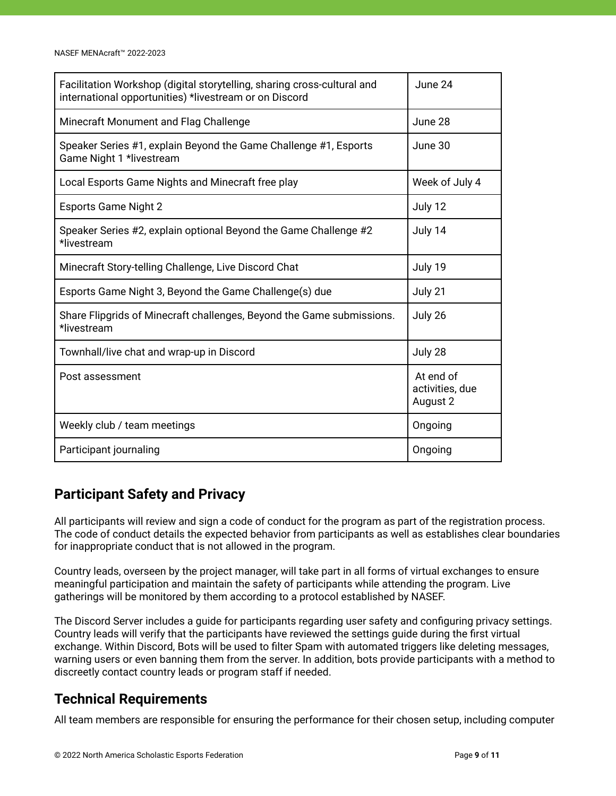| Facilitation Workshop (digital storytelling, sharing cross-cultural and<br>international opportunities) *livestream or on Discord | June 24                                  |
|-----------------------------------------------------------------------------------------------------------------------------------|------------------------------------------|
| Minecraft Monument and Flag Challenge                                                                                             | June 28                                  |
| Speaker Series #1, explain Beyond the Game Challenge #1, Esports<br>Game Night 1 *livestream                                      | June 30                                  |
| Local Esports Game Nights and Minecraft free play                                                                                 | Week of July 4                           |
| <b>Esports Game Night 2</b>                                                                                                       | July 12                                  |
| Speaker Series #2, explain optional Beyond the Game Challenge #2<br>*livestream                                                   | July 14                                  |
| Minecraft Story-telling Challenge, Live Discord Chat                                                                              | July 19                                  |
| Esports Game Night 3, Beyond the Game Challenge(s) due                                                                            | July 21                                  |
| Share Flipgrids of Minecraft challenges, Beyond the Game submissions.<br>*livestream                                              | July 26                                  |
| Townhall/live chat and wrap-up in Discord                                                                                         | July 28                                  |
| Post assessment                                                                                                                   | At end of<br>activities, due<br>August 2 |
| Weekly club / team meetings                                                                                                       | Ongoing                                  |
| Participant journaling                                                                                                            | Ongoing                                  |

## <span id="page-8-0"></span>**Participant Safety and Privacy**

All participants will review and sign a code of conduct for the program as part of the registration process. The code of conduct details the expected behavior from participants as well as establishes clear boundaries for inappropriate conduct that is not allowed in the program.

Country leads, overseen by the project manager, will take part in all forms of virtual exchanges to ensure meaningful participation and maintain the safety of participants while attending the program. Live gatherings will be monitored by them according to a protocol established by NASEF.

The Discord Server includes a guide for participants regarding user safety and configuring privacy settings. Country leads will verify that the participants have reviewed the settings guide during the first virtual exchange. Within Discord, Bots will be used to filter Spam with automated triggers like deleting messages, warning users or even banning them from the server. In addition, bots provide participants with a method to discreetly contact country leads or program staff if needed.

## <span id="page-8-1"></span>**Technical Requirements**

All team members are responsible for ensuring the performance for their chosen setup, including computer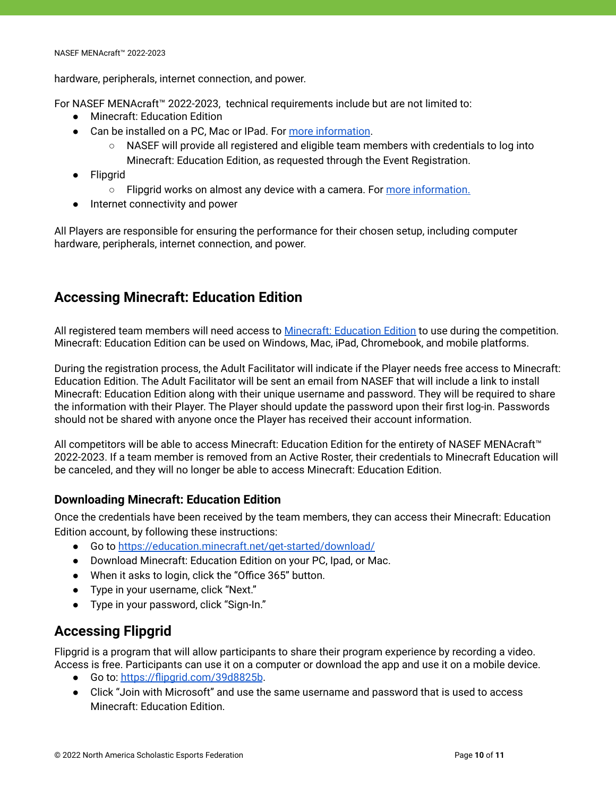hardware, peripherals, internet connection, and power.

For NASEF MENAcraft™ 2022-2023, technical requirements include but are not limited to:

- Minecraft: Education Edition
- Can be installed on a PC, Mac or IPad. For [more information](https://education.minecraft.net/get-started/download).
	- NASEF will provide all registered and eligible team members with credentials to log into Minecraft: Education Edition, as requested through the Event Registration.
- Flipgrid
	- Flipgrid works on almost any device with a camera. For [more information.](https://help.flipgrid.com/hc/en-us/articles/360004051153-Minimum-Device-Requirements)
- Internet connectivity and power

All Players are responsible for ensuring the performance for their chosen setup, including computer hardware, peripherals, internet connection, and power.

## <span id="page-9-0"></span>**Accessing Minecraft: Education Edition**

All registered team members will need access to Minecraft: [Education Edition](https://education.minecraft.net/) to use during the competition. Minecraft: Education Edition can be used on Windows, Mac, iPad, Chromebook, and mobile platforms.

During the registration process, the Adult Facilitator will indicate if the Player needs free access to Minecraft: Education Edition. The Adult Facilitator will be sent an email from NASEF that will include a link to install Minecraft: Education Edition along with their unique username and password. They will be required to share the information with their Player. The Player should update the password upon their first log-in. Passwords should not be shared with anyone once the Player has received their account information.

All competitors will be able to access Minecraft: Education Edition for the entirety of NASEF MENAcraft™ 2022-2023. If a team member is removed from an Active Roster, their credentials to Minecraft Education will be canceled, and they will no longer be able to access Minecraft: Education Edition.

#### <span id="page-9-1"></span>**Downloading Minecraft: Education Edition**

Once the credentials have been received by the team members, they can access their Minecraft: Education Edition account, by following these instructions:

- Go to <https://education.minecraft.net/get-started/download/>
- Download Minecraft: Education Edition on your PC, Ipad, or Mac.
- When it asks to login, click the "Office 365" button.
- Type in your username, click "Next."
- Type in your password, click "Sign-In."

## <span id="page-9-2"></span>**Accessing Flipgrid**

Flipgrid is a program that will allow participants to share their program experience by recording a video. Access is free. Participants can use it on a computer or download the app and use it on a mobile device.

- Go to: <https://flipgrid.com/39d8825b>.
- Click "Join with Microsoft" and use the same username and password that is used to access Minecraft: Education Edition.